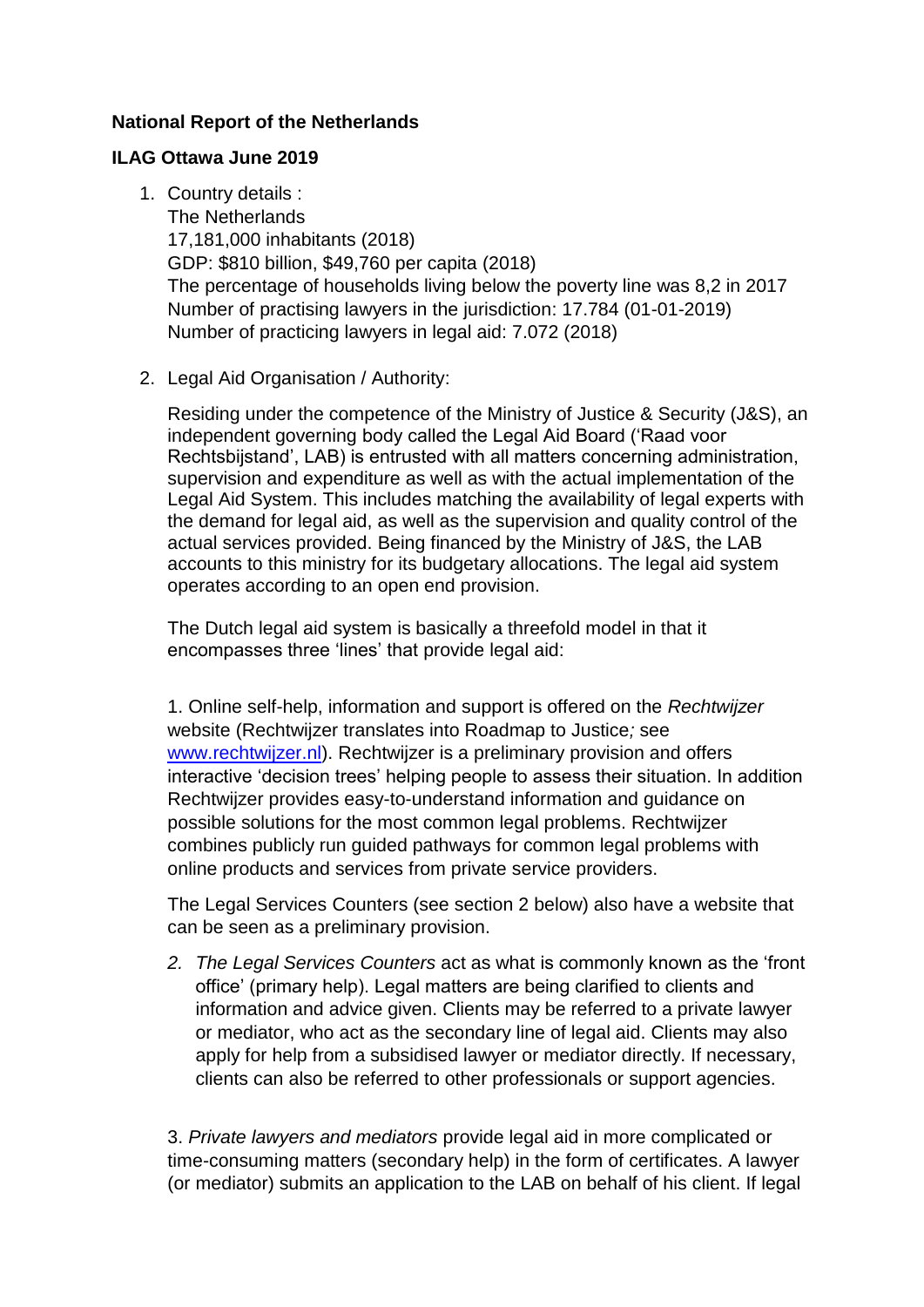# **National Report of the Netherlands**

## **ILAG Ottawa June 2019**

- 1. Country details : The Netherlands 17,181,000 inhabitants (2018) GDP: \$810 billion, \$49,760 per capita (2018) The percentage of households living below the poverty line was 8,2 in 2017 Number of practising lawyers in the jurisdiction: 17.784 (01-01-2019) Number of practicing lawyers in legal aid: 7.072 (2018)
- 2. Legal Aid Organisation / Authority:

Residing under the competence of the Ministry of Justice & Security (J&S), an independent governing body called the Legal Aid Board ('Raad voor Rechtsbijstand', LAB) is entrusted with all matters concerning administration, supervision and expenditure as well as with the actual implementation of the Legal Aid System. This includes matching the availability of legal experts with the demand for legal aid, as well as the supervision and quality control of the actual services provided. Being financed by the Ministry of J&S, the LAB accounts to this ministry for its budgetary allocations. The legal aid system operates according to an open end provision.

The Dutch legal aid system is basically a threefold model in that it encompasses three 'lines' that provide legal aid:

1. Online self-help, information and support is offered on the *Rechtwijzer*  website (Rechtwijzer translates into Roadmap to Justice*;* see [www.rechtwijzer.nl\)](http://www.rechtwijzer.nl/). Rechtwijzer is a preliminary provision and offers interactive 'decision trees' helping people to assess their situation. In addition Rechtwijzer provides easy-to-understand information and guidance on possible solutions for the most common legal problems. Rechtwijzer combines publicly run guided pathways for common legal problems with online products and services from private service providers.

The Legal Services Counters (see section 2 below) also have a website that can be seen as a preliminary provision.

*2. The Legal Services Counters* act as what is commonly known as the 'front office' (primary help). Legal matters are being clarified to clients and information and advice given. Clients may be referred to a private lawyer or mediator, who act as the secondary line of legal aid. Clients may also apply for help from a subsidised lawyer or mediator directly. If necessary, clients can also be referred to other professionals or support agencies.

3. *Private lawyers and mediators* provide legal aid in more complicated or time-consuming matters (secondary help) in the form of certificates. A lawyer (or mediator) submits an application to the LAB on behalf of his client. If legal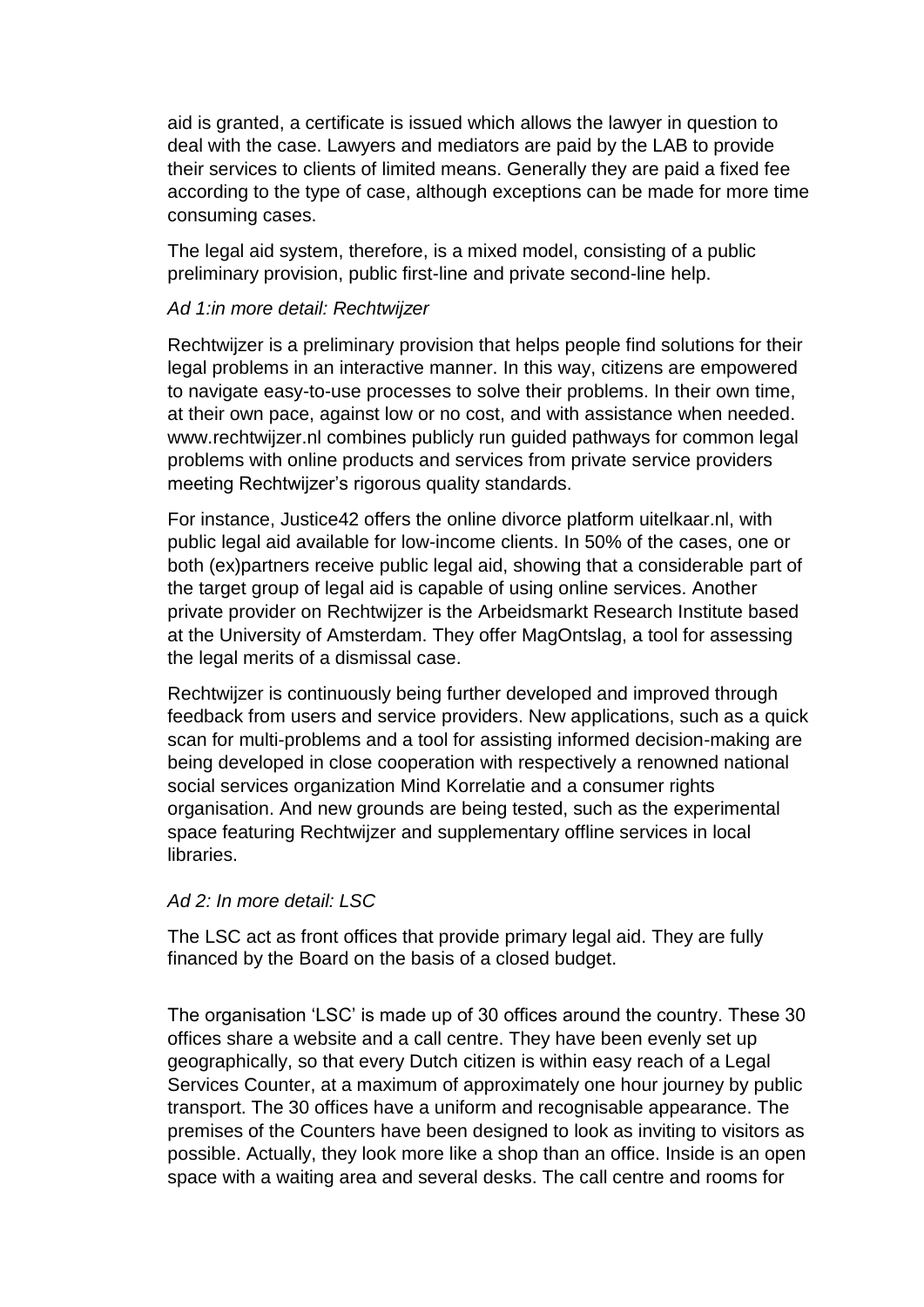aid is granted, a certificate is issued which allows the lawyer in question to deal with the case. Lawyers and mediators are paid by the LAB to provide their services to clients of limited means. Generally they are paid a fixed fee according to the type of case, although exceptions can be made for more time consuming cases.

The legal aid system, therefore, is a mixed model, consisting of a public preliminary provision, public first-line and private second-line help.

### *Ad 1:in more detail: Rechtwijzer*

Rechtwijzer is a preliminary provision that helps people find solutions for their legal problems in an interactive manner. In this way, citizens are empowered to navigate easy-to-use processes to solve their problems. In their own time, at their own pace, against low or no cost, and with assistance when needed. www[.rechtwijzer.nl](http://www.rechtwijzer.nl/) combines publicly run guided pathways for common legal problems with online products and services from private service providers meeting Rechtwijzer's rigorous quality standards.

For instance, Justice42 offers the online divorce platform uitelkaar.nl, with public legal aid available for low-income clients. In 50% of the cases, one or both (ex)partners receive public legal aid, showing that a considerable part of the target group of legal aid is capable of using online services. Another private provider on Rechtwijzer is the Arbeidsmarkt Research Institute based at the University of Amsterdam. They offer [MagOntslag,](https://rechtwijzer.nl/ontslag) a tool for assessing the legal merits of a dismissal case.

Rechtwijzer is continuously being further developed and improved through feedback from users and service providers. New applications, such as a quick scan for multi-problems and a tool for assisting informed decision-making are being developed in close cooperation with respectively a renowned national social services organization Mind Korrelatie and a consumer rights organisation. And new grounds are being tested, such as the experimental space featuring Rechtwijzer and supplementary offline services in local libraries.

### *Ad 2: In more detail: LSC*

The LSC act as front offices that provide primary legal aid. They are fully financed by the Board on the basis of a closed budget.

The organisation 'LSC' is made up of 30 offices around the country. These 30 offices share a website and a call centre. They have been evenly set up geographically, so that every Dutch citizen is within easy reach of a Legal Services Counter, at a maximum of approximately one hour journey by public transport. The 30 offices have a uniform and recognisable appearance. The premises of the Counters have been designed to look as inviting to visitors as possible. Actually, they look more like a shop than an office. Inside is an open space with a waiting area and several desks. The call centre and rooms for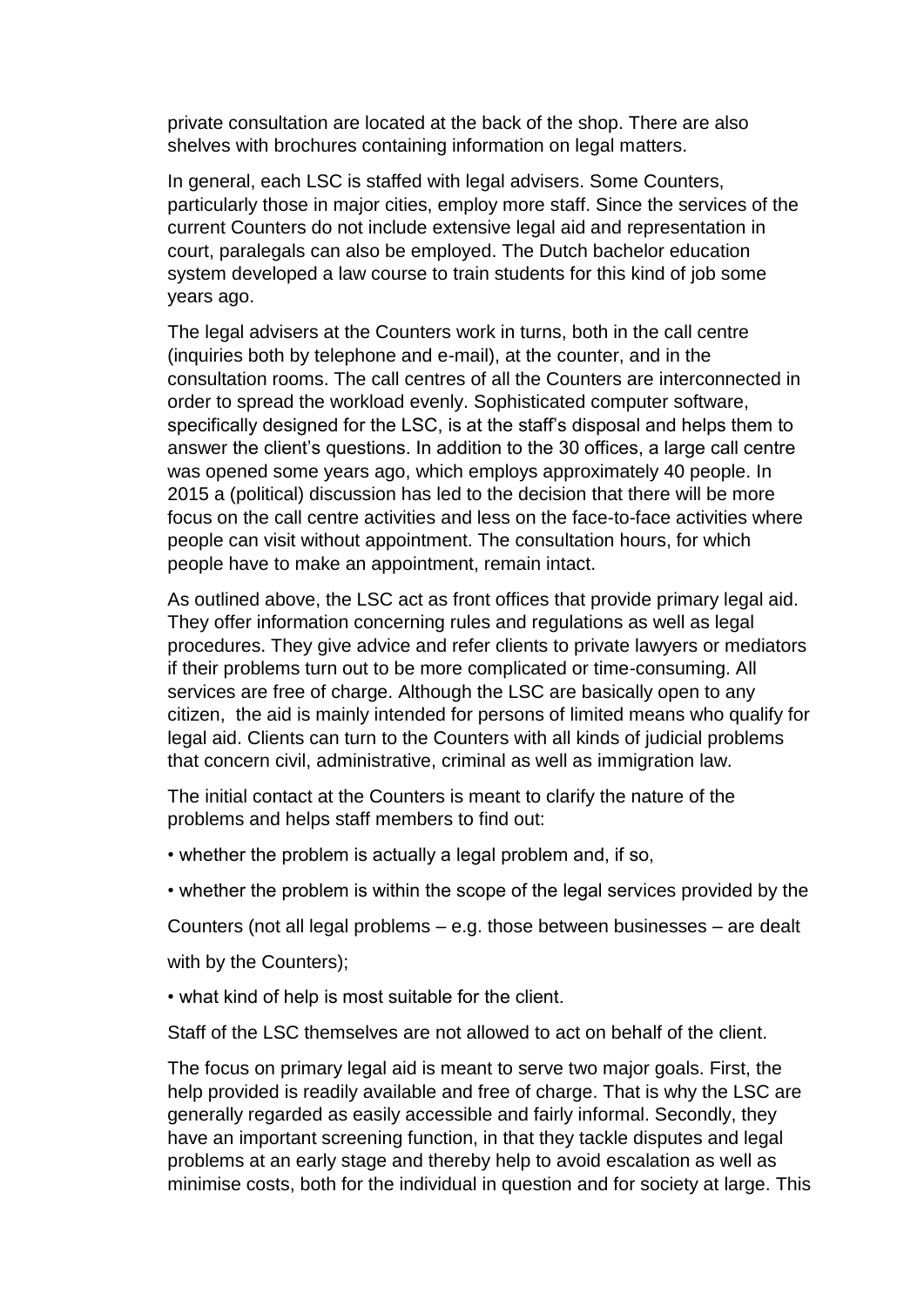private consultation are located at the back of the shop. There are also shelves with brochures containing information on legal matters.

In general, each LSC is staffed with legal advisers. Some Counters, particularly those in major cities, employ more staff. Since the services of the current Counters do not include extensive legal aid and representation in court, paralegals can also be employed. The Dutch bachelor education system developed a law course to train students for this kind of job some years ago.

The legal advisers at the Counters work in turns, both in the call centre (inquiries both by telephone and e-mail), at the counter, and in the consultation rooms. The call centres of all the Counters are interconnected in order to spread the workload evenly. Sophisticated computer software, specifically designed for the LSC, is at the staff's disposal and helps them to answer the client's questions. In addition to the 30 offices, a large call centre was opened some years ago, which employs approximately 40 people. In 2015 a (political) discussion has led to the decision that there will be more focus on the call centre activities and less on the face-to-face activities where people can visit without appointment. The consultation hours, for which people have to make an appointment, remain intact.

As outlined above, the LSC act as front offices that provide primary legal aid. They offer information concerning rules and regulations as well as legal procedures. They give advice and refer clients to private lawyers or mediators if their problems turn out to be more complicated or time-consuming. All services are free of charge. Although the LSC are basically open to any citizen, the aid is mainly intended for persons of limited means who qualify for legal aid. Clients can turn to the Counters with all kinds of judicial problems that concern civil, administrative, criminal as well as immigration law.

The initial contact at the Counters is meant to clarify the nature of the problems and helps staff members to find out:

- whether the problem is actually a legal problem and, if so,
- whether the problem is within the scope of the legal services provided by the

Counters (not all legal problems – e.g. those between businesses – are dealt

with by the Counters);

• what kind of help is most suitable for the client.

Staff of the LSC themselves are not allowed to act on behalf of the client.

The focus on primary legal aid is meant to serve two major goals. First, the help provided is readily available and free of charge. That is why the LSC are generally regarded as easily accessible and fairly informal. Secondly, they have an important screening function, in that they tackle disputes and legal problems at an early stage and thereby help to avoid escalation as well as minimise costs, both for the individual in question and for society at large. This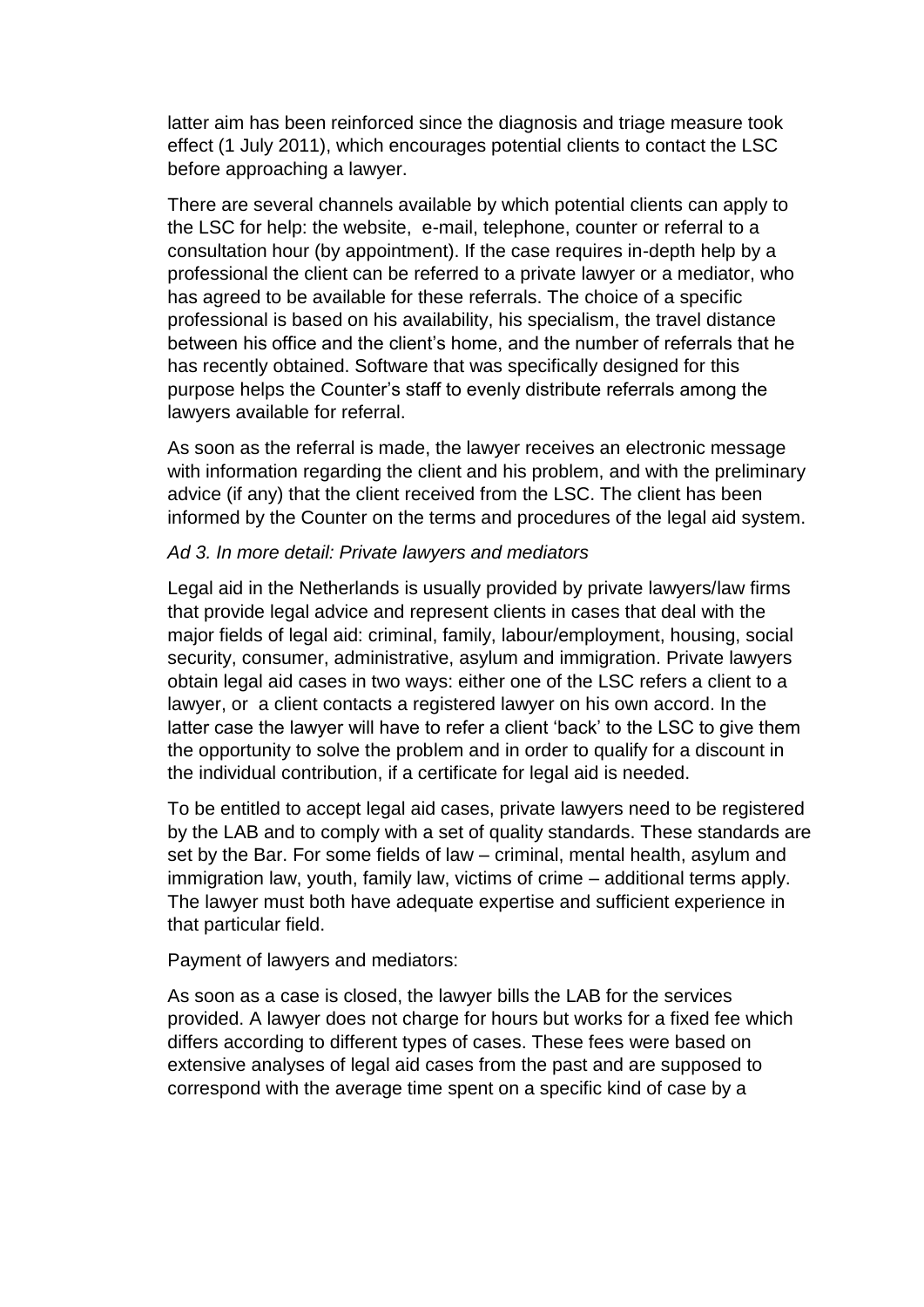latter aim has been reinforced since the diagnosis and triage measure took effect (1 July 2011), which encourages potential clients to contact the LSC before approaching a lawyer.

There are several channels available by which potential clients can apply to the LSC for help: the website, e-mail, telephone, counter or referral to a consultation hour (by appointment). If the case requires in-depth help by a professional the client can be referred to a private lawyer or a mediator, who has agreed to be available for these referrals. The choice of a specific professional is based on his availability, his specialism, the travel distance between his office and the client's home, and the number of referrals that he has recently obtained. Software that was specifically designed for this purpose helps the Counter's staff to evenly distribute referrals among the lawyers available for referral.

As soon as the referral is made, the lawyer receives an electronic message with information regarding the client and his problem, and with the preliminary advice (if any) that the client received from the LSC. The client has been informed by the Counter on the terms and procedures of the legal aid system.

### *Ad 3. In more detail: Private lawyers and mediators*

Legal aid in the Netherlands is usually provided by private lawyers/law firms that provide legal advice and represent clients in cases that deal with the major fields of legal aid: criminal, family, labour/employment, housing, social security, consumer, administrative, asylum and immigration. Private lawyers obtain legal aid cases in two ways: either one of the LSC refers a client to a lawyer, or a client contacts a registered lawyer on his own accord. In the latter case the lawyer will have to refer a client 'back' to the LSC to give them the opportunity to solve the problem and in order to qualify for a discount in the individual contribution, if a certificate for legal aid is needed.

To be entitled to accept legal aid cases, private lawyers need to be registered by the LAB and to comply with a set of quality standards. These standards are set by the Bar. For some fields of law – criminal, mental health, asylum and immigration law, youth, family law, victims of crime – additional terms apply. The lawyer must both have adequate expertise and sufficient experience in that particular field.

Payment of lawyers and mediators:

As soon as a case is closed, the lawyer bills the LAB for the services provided. A lawyer does not charge for hours but works for a fixed fee which differs according to different types of cases. These fees were based on extensive analyses of legal aid cases from the past and are supposed to correspond with the average time spent on a specific kind of case by a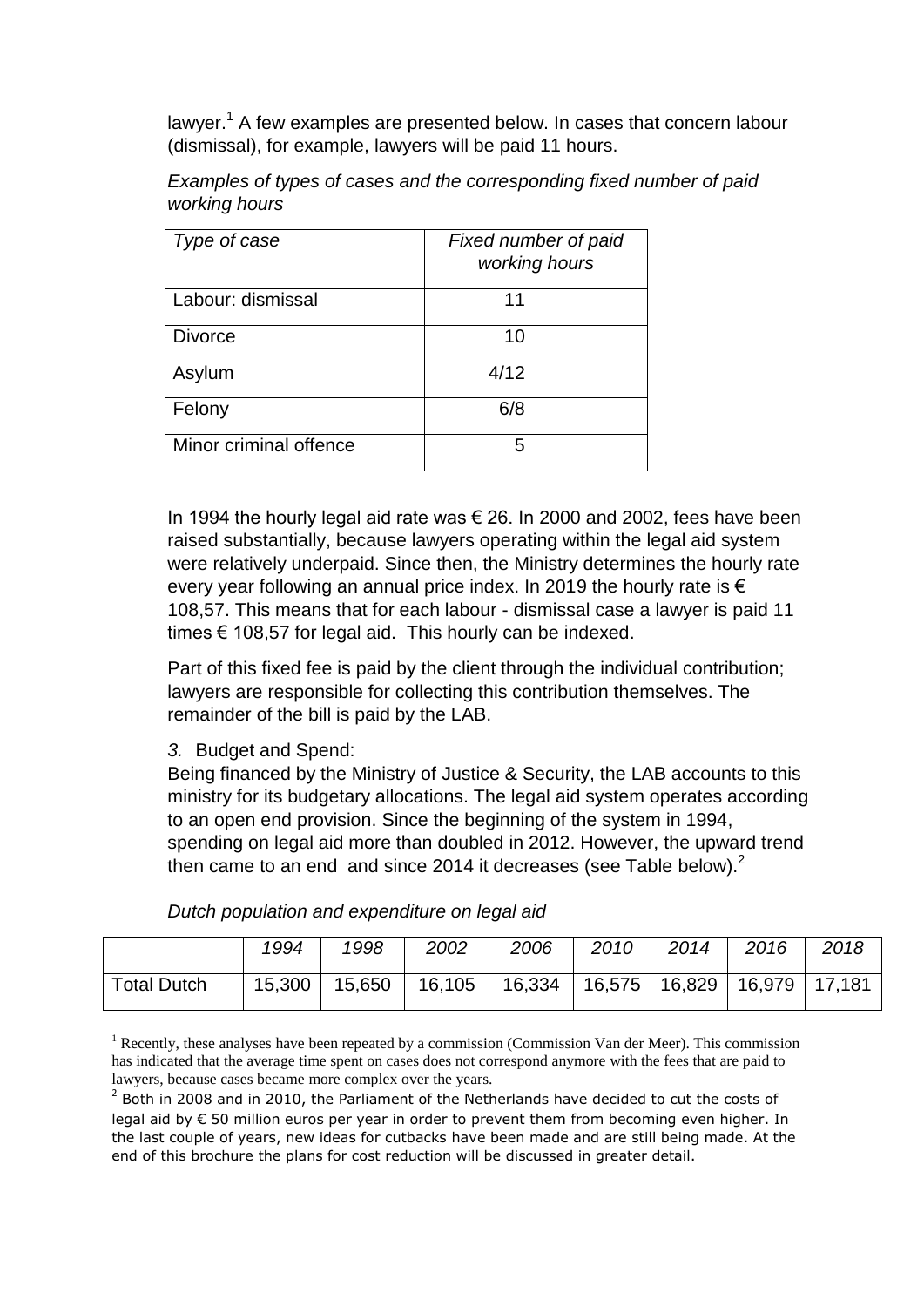lawyer.<sup>1</sup> A few examples are presented below. In cases that concern labour (dismissal), for example, lawyers will be paid 11 hours.

| Examples of types of cases and the corresponding fixed number of paid |
|-----------------------------------------------------------------------|
| working hours                                                         |

| Type of case           | Fixed number of paid<br>working hours |
|------------------------|---------------------------------------|
| Labour: dismissal      | 11                                    |
| <b>Divorce</b>         | 10                                    |
| Asylum                 | 4/12                                  |
| Felony                 | 6/8                                   |
| Minor criminal offence | 5                                     |

In 1994 the hourly legal aid rate was  $\epsilon$  26. In 2000 and 2002, fees have been raised substantially, because lawyers operating within the legal aid system were relatively underpaid. Since then, the Ministry determines the hourly rate every year following an annual price index. In 2019 the hourly rate is  $\epsilon$ 108,57. This means that for each labour - dismissal case a lawyer is paid 11 times  $\epsilon$  108,57 for legal aid. This hourly can be indexed.

Part of this fixed fee is paid by the client through the individual contribution; lawyers are responsible for collecting this contribution themselves. The remainder of the bill is paid by the LAB.

*3.* Budget and Spend:

**.** 

Being financed by the Ministry of Justice & Security, the LAB accounts to this ministry for its budgetary allocations. The legal aid system operates according to an open end provision. Since the beginning of the system in 1994, spending on legal aid more than doubled in 2012. However, the upward trend then came to an end and since 2014 it decreases (see Table below). $<sup>2</sup>$ </sup>

|                    | 1994 | 1998 | 2002 | 2006                                                                  | 2010 | 2014 | 2016 | 2018 |
|--------------------|------|------|------|-----------------------------------------------------------------------|------|------|------|------|
| <b>Total Dutch</b> |      |      |      | 15,300   15,650   16,105   16,334   16,575   16,829   16,979   17,181 |      |      |      |      |

*Dutch population and expenditure on legal aid* 

Recently, these analyses have been repeated by a commission (Commission Van der Meer). This commission has indicated that the average time spent on cases does not correspond anymore with the fees that are paid to lawyers, because cases became more complex over the years.

 $2$  Both in 2008 and in 2010, the Parliament of the Netherlands have decided to cut the costs of legal aid by € 50 million euros per year in order to prevent them from becoming even higher. In the last couple of years, new ideas for cutbacks have been made and are still being made. At the end of this brochure the plans for cost reduction will be discussed in greater detail.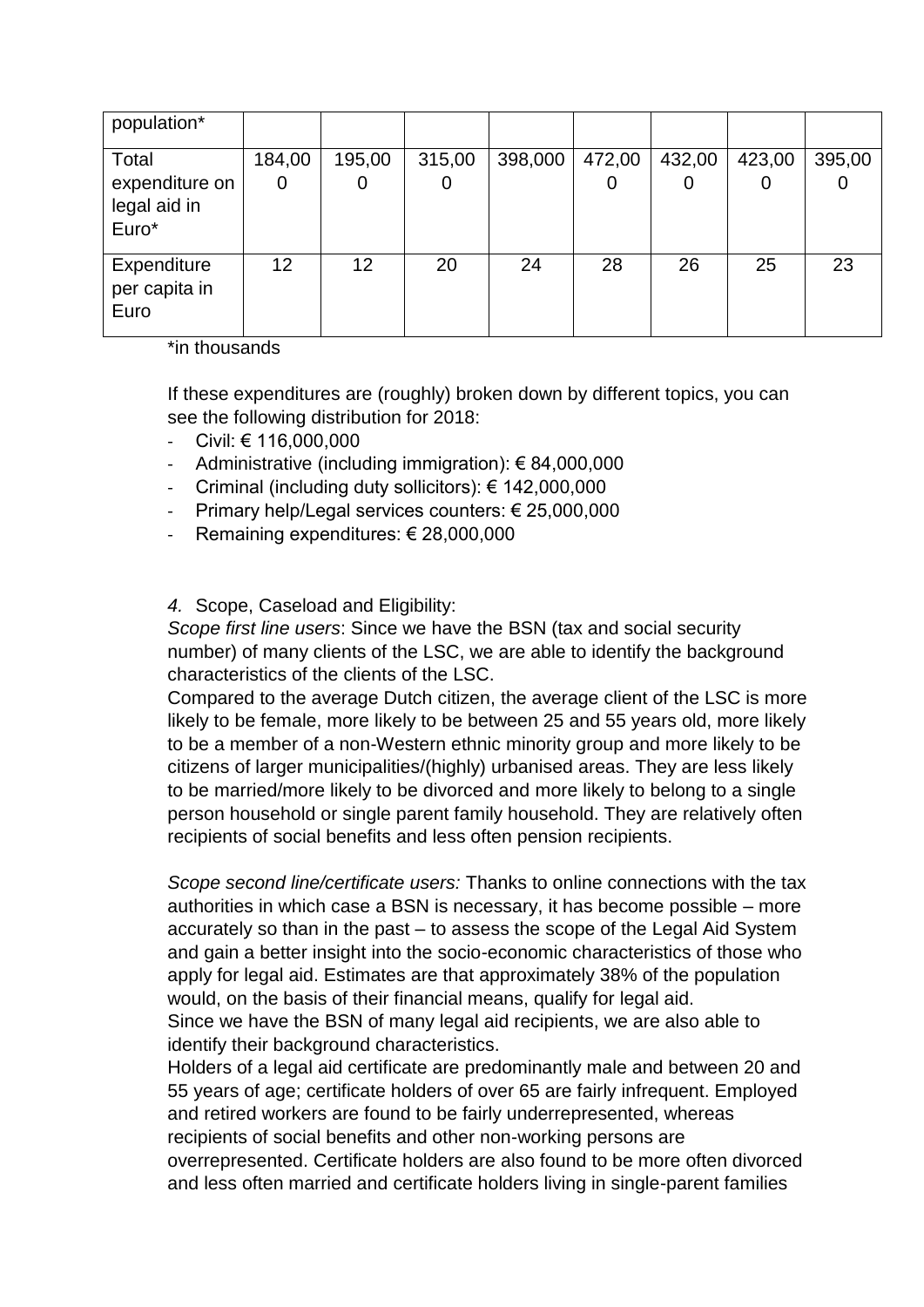| population*                                      |                 |             |             |         |        |             |             |        |
|--------------------------------------------------|-----------------|-------------|-------------|---------|--------|-------------|-------------|--------|
| Total<br>expenditure on<br>legal aid in<br>Euro* | 184,00<br>0     | 195,00<br>0 | 315,00<br>0 | 398,000 | 472,00 | 432,00<br>O | 423,00<br>0 | 395,00 |
| Expenditure<br>per capita in<br>Euro             | 12 <sup>2</sup> | 12          | 20          | 24      | 28     | 26          | 25          | 23     |

\*in thousands

If these expenditures are (roughly) broken down by different topics, you can see the following distribution for 2018:

- Civil: € 116,000,000
- Administrative (including immigration):  $\epsilon$  84,000,000
- Criminal (including duty sollicitors): € 142,000,000
- Primary help/Legal services counters: € 25,000,000
- Remaining expenditures: € 28,000,000

# *4.* Scope, Caseload and Eligibility:

*Scope first line users*: Since we have the BSN (tax and social security number) of many clients of the LSC, we are able to identify the background characteristics of the clients of the LSC.

Compared to the average Dutch citizen, the average client of the LSC is more likely to be female, more likely to be between 25 and 55 years old, more likely to be a member of a non-Western ethnic minority group and more likely to be citizens of larger municipalities/(highly) urbanised areas. They are less likely to be married/more likely to be divorced and more likely to belong to a single person household or single parent family household. They are relatively often recipients of social benefits and less often pension recipients.

*Scope second line/certificate users:* Thanks to online connections with the tax authorities in which case a BSN is necessary, it has become possible – more accurately so than in the past – to assess the scope of the Legal Aid System and gain a better insight into the socio-economic characteristics of those who apply for legal aid. Estimates are that approximately 38% of the population would, on the basis of their financial means, qualify for legal aid. Since we have the BSN of many legal aid recipients, we are also able to identify their background characteristics.

Holders of a legal aid certificate are predominantly male and between 20 and 55 years of age; certificate holders of over 65 are fairly infrequent. Employed and retired workers are found to be fairly underrepresented, whereas recipients of social benefits and other non-working persons are overrepresented. Certificate holders are also found to be more often divorced and less often married and certificate holders living in single-parent families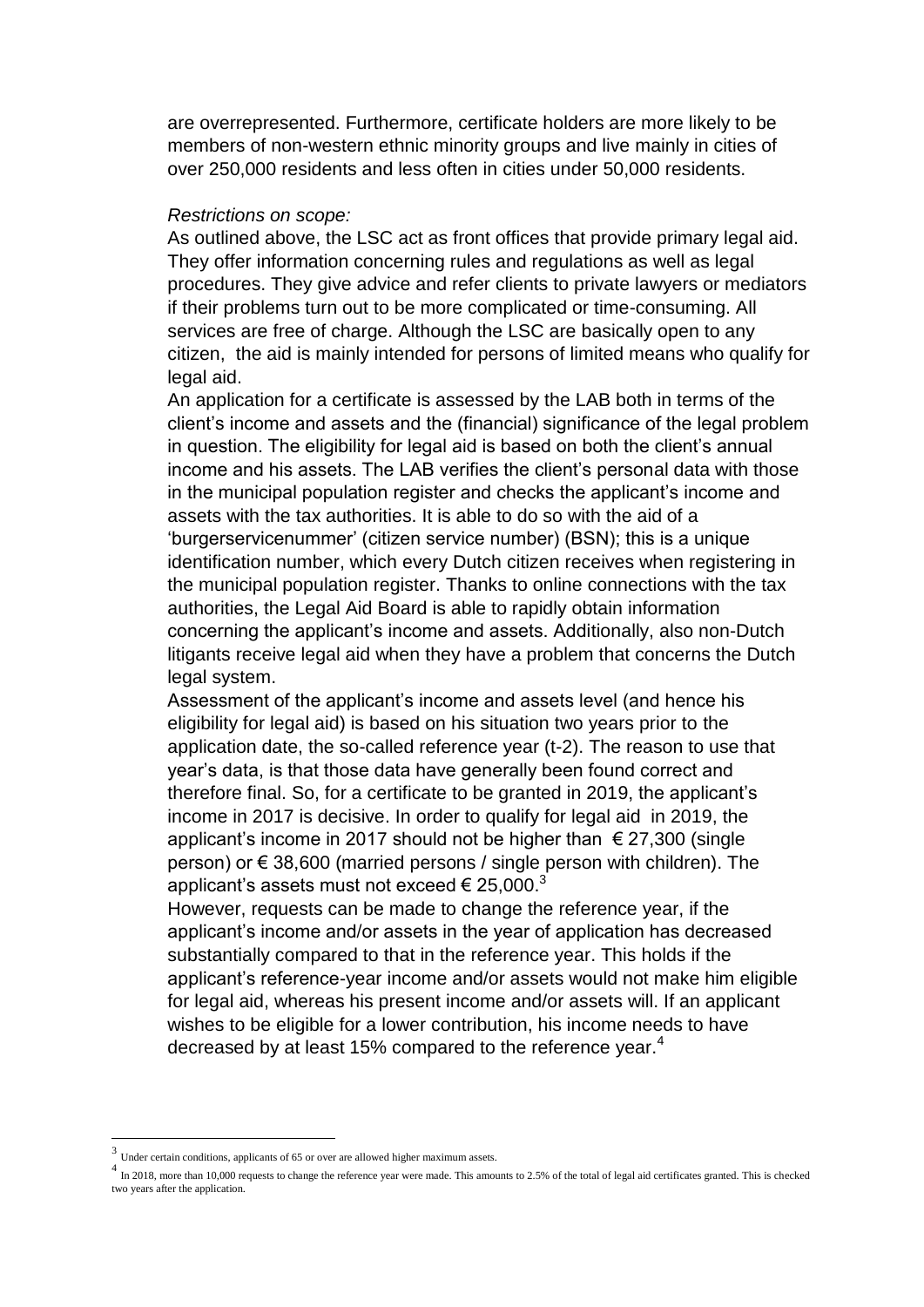are overrepresented. Furthermore, certificate holders are more likely to be members of non-western ethnic minority groups and live mainly in cities of over 250,000 residents and less often in cities under 50,000 residents.

#### *Restrictions on scope:*

As outlined above, the LSC act as front offices that provide primary legal aid. They offer information concerning rules and regulations as well as legal procedures. They give advice and refer clients to private lawyers or mediators if their problems turn out to be more complicated or time-consuming. All services are free of charge. Although the LSC are basically open to any citizen, the aid is mainly intended for persons of limited means who qualify for legal aid.

An application for a certificate is assessed by the LAB both in terms of the client's income and assets and the (financial) significance of the legal problem in question. The eligibility for legal aid is based on both the client's annual income and his assets. The LAB verifies the client's personal data with those in the municipal population register and checks the applicant's income and assets with the tax authorities. It is able to do so with the aid of a 'burgerservicenummer' (citizen service number) (BSN); this is a unique identification number, which every Dutch citizen receives when registering in the municipal population register. Thanks to online connections with the tax authorities, the Legal Aid Board is able to rapidly obtain information concerning the applicant's income and assets. Additionally, also non-Dutch litigants receive legal aid when they have a problem that concerns the Dutch legal system.

Assessment of the applicant's income and assets level (and hence his eligibility for legal aid) is based on his situation two years prior to the application date, the so-called reference year (t-2). The reason to use that year's data, is that those data have generally been found correct and therefore final. So, for a certificate to be granted in 2019, the applicant's income in 2017 is decisive. In order to qualify for legal aid in 2019, the applicant's income in 2017 should not be higher than  $\epsilon$  27,300 (single person) or € 38,600 (married persons / single person with children). The applicant's assets must not exceed  $\epsilon$  25,000.<sup>3</sup>

However, requests can be made to change the reference year, if the applicant's income and/or assets in the year of application has decreased substantially compared to that in the reference year. This holds if the applicant's reference-year income and/or assets would not make him eligible for legal aid, whereas his present income and/or assets will. If an applicant wishes to be eligible for a lower contribution, his income needs to have decreased by at least 15% compared to the reference year.<sup>4</sup>

 $\overline{\phantom{a}}$ 

<sup>3</sup> Under certain conditions, applicants of 65 or over are allowed higher maximum assets.

 $<sup>4</sup>$  In 2018, more than 10,000 requests to change the reference year were made. This amounts to 2.5% of the total of legal aid certificates granted. This is checked</sup> two years after the application.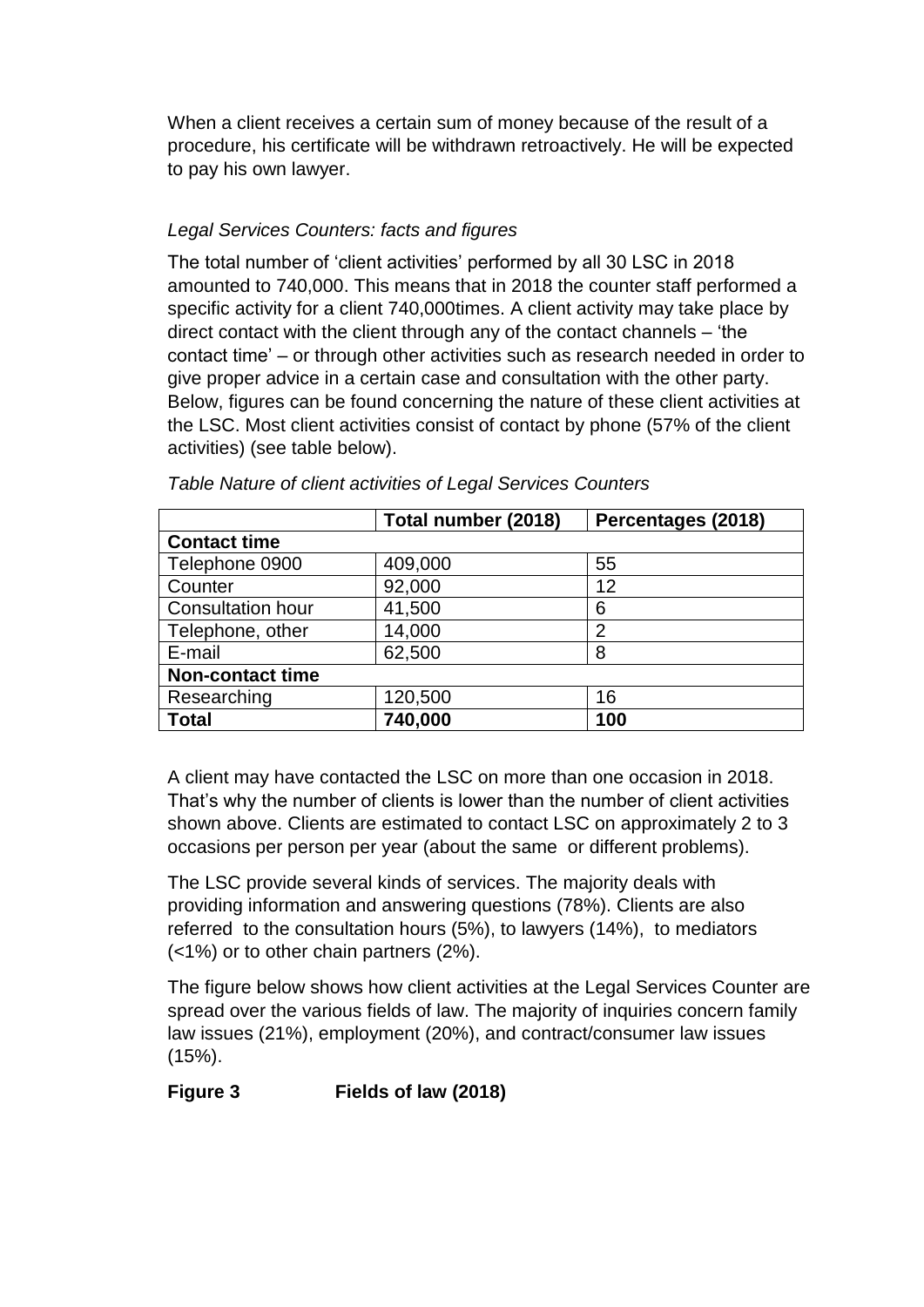When a client receives a certain sum of money because of the result of a procedure, his certificate will be withdrawn retroactively. He will be expected to pay his own lawyer.

# *Legal Services Counters: facts and figures*

The total number of 'client activities' performed by all 30 LSC in 2018 amounted to 740,000. This means that in 2018 the counter staff performed a specific activity for a client 740,000times. A client activity may take place by direct contact with the client through any of the contact channels – 'the contact time' – or through other activities such as research needed in order to give proper advice in a certain case and consultation with the other party. Below, figures can be found concerning the nature of these client activities at the LSC. Most client activities consist of contact by phone (57% of the client activities) (see table below).

|                          | Total number (2018) | Percentages (2018) |  |  |  |  |  |
|--------------------------|---------------------|--------------------|--|--|--|--|--|
| <b>Contact time</b>      |                     |                    |  |  |  |  |  |
| Telephone 0900           | 409,000             | 55                 |  |  |  |  |  |
| Counter                  | 92,000              | 12                 |  |  |  |  |  |
| <b>Consultation hour</b> | 41,500              | 6                  |  |  |  |  |  |
| Telephone, other         | 14,000              | 2                  |  |  |  |  |  |
| E-mail                   | 62,500              | 8                  |  |  |  |  |  |
| <b>Non-contact time</b>  |                     |                    |  |  |  |  |  |
| Researching              | 120,500             | 16                 |  |  |  |  |  |
| Total                    | 740,000             | 100                |  |  |  |  |  |

*Table Nature of client activities of Legal Services Counters* 

A client may have contacted the LSC on more than one occasion in 2018. That's why the number of clients is lower than the number of client activities shown above. Clients are estimated to contact LSC on approximately 2 to 3 occasions per person per year (about the same or different problems).

The LSC provide several kinds of services. The majority deals with providing information and answering questions (78%). Clients are also referred to the consultation hours (5%), to lawyers (14%), to mediators (<1%) or to other chain partners (2%).

The figure below shows how client activities at the Legal Services Counter are spread over the various fields of law. The majority of inquiries concern family law issues (21%), employment (20%), and contract/consumer law issues (15%).

**Figure 3 Fields of law (2018)**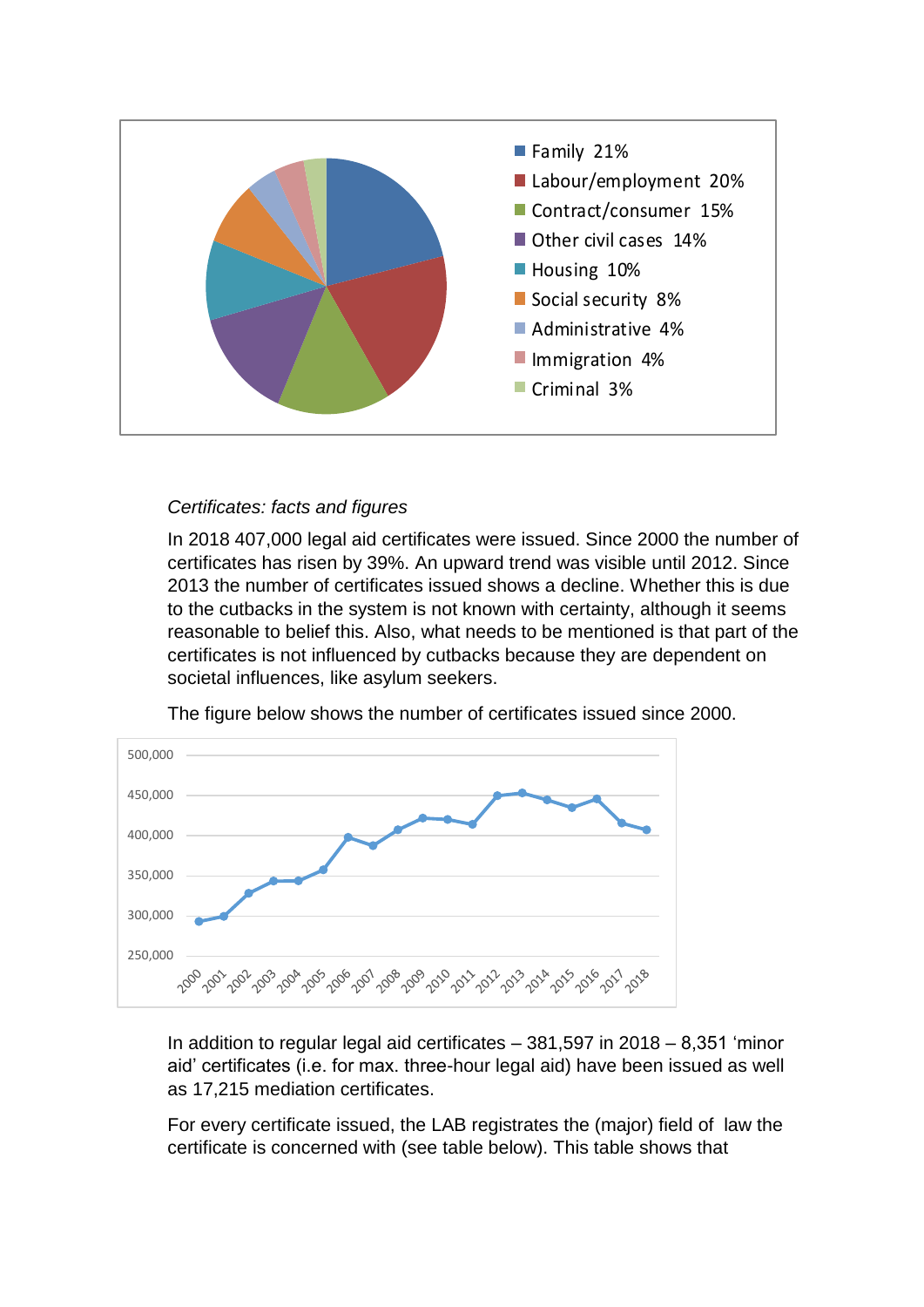

## *Certificates: facts and figures*

In 2018 407,000 legal aid certificates were issued. Since 2000 the number of certificates has risen by 39%. An upward trend was visible until 2012. Since 2013 the number of certificates issued shows a decline. Whether this is due to the cutbacks in the system is not known with certainty, although it seems reasonable to belief this. Also, what needs to be mentioned is that part of the certificates is not influenced by cutbacks because they are dependent on societal influences, like asylum seekers.



The figure below shows the number of certificates issued since 2000.

In addition to regular legal aid certificates – 381,597 in 2018 – 8,351 'minor aid' certificates (i.e. for max. three-hour legal aid) have been issued as well as 17,215 mediation certificates.

For every certificate issued, the LAB registrates the (major) field of law the certificate is concerned with (see table below). This table shows that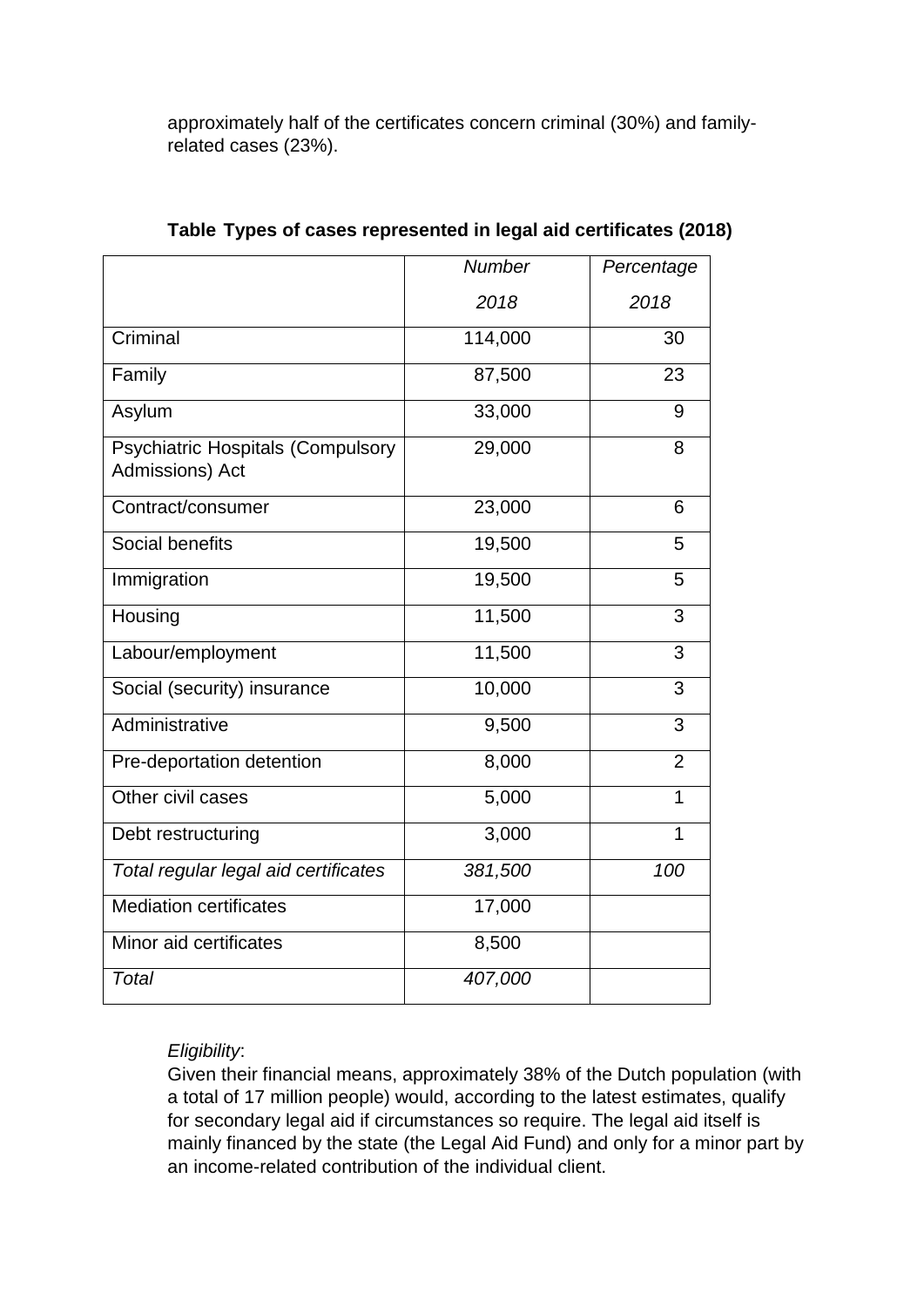approximately half of the certificates concern criminal (30%) and familyrelated cases (23%).

|                                                      | <b>Number</b> | Percentage     |
|------------------------------------------------------|---------------|----------------|
|                                                      | 2018          | 2018           |
| Criminal                                             | 114,000       | 30             |
| Family                                               | 87,500        | 23             |
| Asylum                                               | 33,000        | 9              |
| Psychiatric Hospitals (Compulsory<br>Admissions) Act | 29,000        | 8              |
| Contract/consumer                                    | 23,000        | 6              |
| Social benefits                                      | 19,500        | 5              |
| Immigration                                          | 19,500        | 5              |
| Housing                                              | 11,500        | 3              |
| Labour/employment                                    | 11,500        | 3              |
| Social (security) insurance                          | 10,000        | 3              |
| Administrative                                       | 9,500         | 3              |
| Pre-deportation detention                            | 8,000         | $\overline{2}$ |
| Other civil cases                                    | 5,000         | $\overline{1}$ |
| Debt restructuring                                   | 3,000         | $\overline{1}$ |
| Total regular legal aid certificates                 | 381,500       | 100            |
| <b>Mediation certificates</b>                        | 17,000        |                |
| Minor aid certificates                               | 8,500         |                |
| Total                                                | 407,000       |                |

## **Table Types of cases represented in legal aid certificates (2018)**

## *Eligibility*:

Given their financial means, approximately 38% of the Dutch population (with a total of 17 million people) would, according to the latest estimates, qualify for secondary legal aid if circumstances so require. The legal aid itself is mainly financed by the state (the Legal Aid Fund) and only for a minor part by an income-related contribution of the individual client.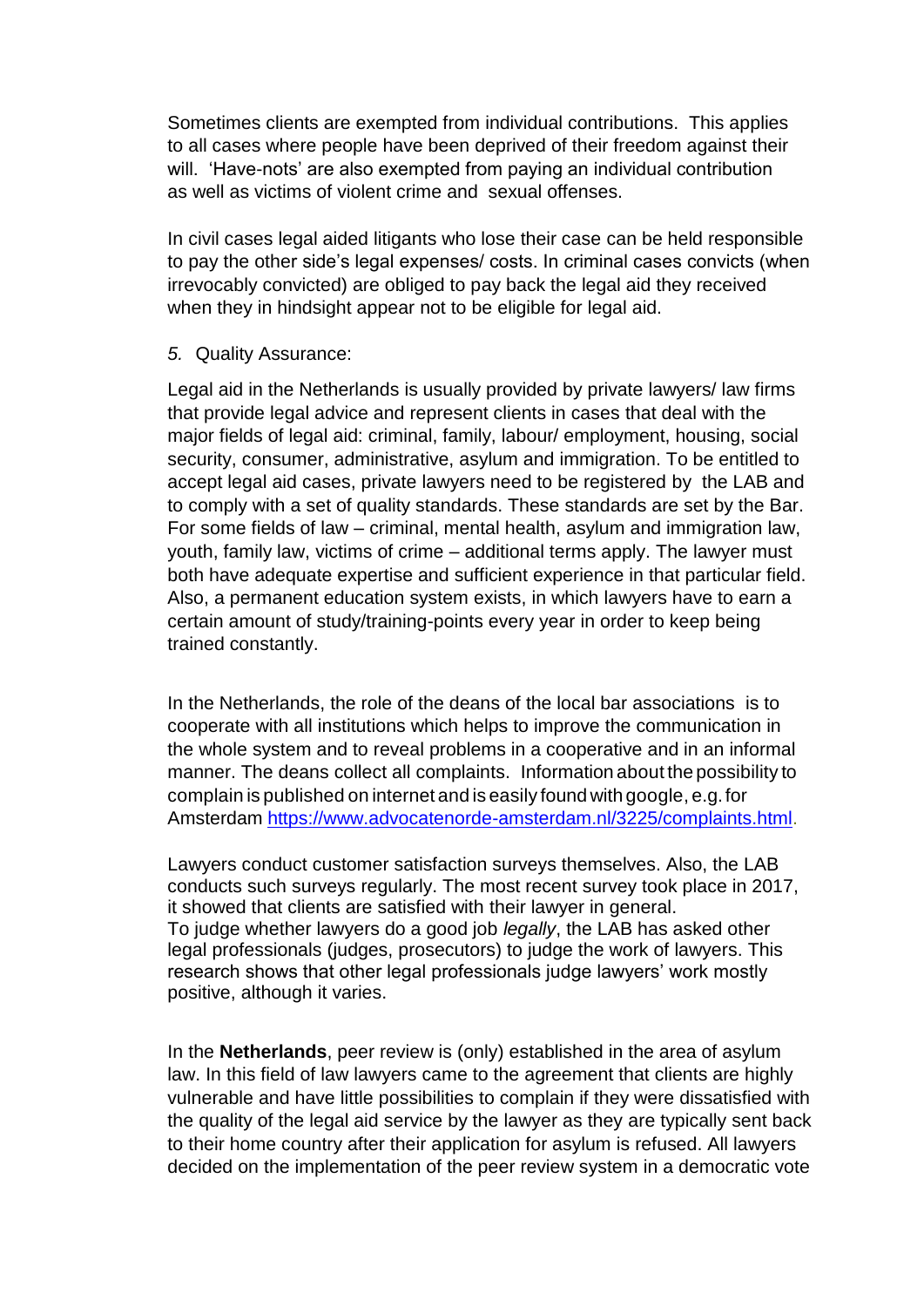Sometimes clients are exempted from individual contributions. This applies to all cases where people have been deprived of their freedom against their will. 'Have-nots' are also exempted from paying an individual contribution as well as victims of violent crime and sexual offenses.

In civil cases legal aided litigants who lose their case can be held responsible to pay the other side's legal expenses/ costs. In criminal cases convicts (when irrevocably convicted) are obliged to pay back the legal aid they received when they in hindsight appear not to be eligible for legal aid.

### *5.* Quality Assurance:

Legal aid in the Netherlands is usually provided by private lawyers/ law firms that provide legal advice and represent clients in cases that deal with the major fields of legal aid: criminal, family, labour/ employment, housing, social security, consumer, administrative, asylum and immigration. To be entitled to accept legal aid cases, private lawyers need to be registered by the LAB and to comply with a set of quality standards. These standards are set by the Bar. For some fields of law – criminal, mental health, asylum and immigration law, youth, family law, victims of crime – additional terms apply. The lawyer must both have adequate expertise and sufficient experience in that particular field. Also, a permanent education system exists, in which lawyers have to earn a certain amount of study/training-points every year in order to keep being trained constantly.

In the Netherlands, the role of the deans of the local bar associations is to cooperate with all institutions which helps to improve the communication in the whole system and to reveal problems in a cooperative and in an informal manner. The deans collect all complaints. Information about the possibility to complain is published on internet and is easily found with google, e.g.for Amsterdam [https://www.advocatenorde-amsterdam.nl/3225/complaints.html.](https://www.advocatenorde-amsterdam.nl/3225/complaints.html)

Lawyers conduct customer satisfaction surveys themselves. Also, the LAB conducts such surveys regularly. The most recent survey took place in 2017, it showed that clients are satisfied with their lawyer in general. To judge whether lawyers do a good job *legally*, the LAB has asked other legal professionals (judges, prosecutors) to judge the work of lawyers. This research shows that other legal professionals judge lawyers' work mostly positive, although it varies.

In the **Netherlands**, peer review is (only) established in the area of asylum law. In this field of law lawyers came to the agreement that clients are highly vulnerable and have little possibilities to complain if they were dissatisfied with the quality of the legal aid service by the lawyer as they are typically sent back to their home country after their application for asylum is refused. All lawyers decided on the implementation of the peer review system in a democratic vote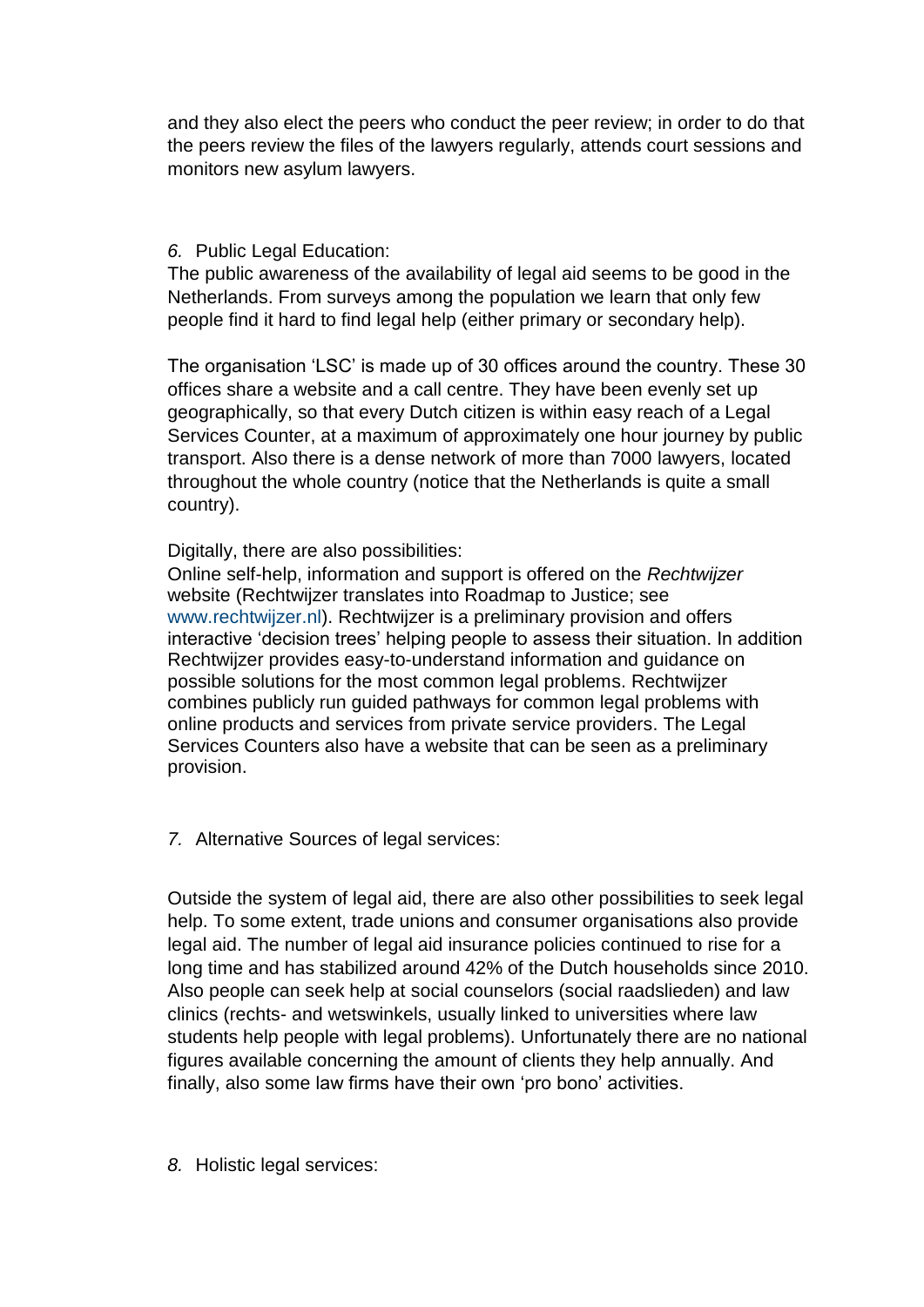and they also elect the peers who conduct the peer review; in order to do that the peers review the files of the lawyers regularly, attends court sessions and monitors new asylum lawyers.

### *6.* Public Legal Education:

The public awareness of the availability of legal aid seems to be good in the Netherlands. From surveys among the population we learn that only few people find it hard to find legal help (either primary or secondary help).

The organisation 'LSC' is made up of 30 offices around the country. These 30 offices share a website and a call centre. They have been evenly set up geographically, so that every Dutch citizen is within easy reach of a Legal Services Counter, at a maximum of approximately one hour journey by public transport. Also there is a dense network of more than 7000 lawyers, located throughout the whole country (notice that the Netherlands is quite a small country).

## Digitally, there are also possibilities:

Online self-help, information and support is offered on the *Rechtwijzer* website (Rechtwijzer translates into Roadmap to Justice; see www.rechtwijzer.nl). Rechtwijzer is a preliminary provision and offers interactive 'decision trees' helping people to assess their situation. In addition Rechtwijzer provides easy-to-understand information and guidance on possible solutions for the most common legal problems. Rechtwijzer combines publicly run guided pathways for common legal problems with online products and services from private service providers. The Legal Services Counters also have a website that can be seen as a preliminary provision.

*7.* Alternative Sources of legal services:

Outside the system of legal aid, there are also other possibilities to seek legal help. To some extent, trade unions and consumer organisations also provide legal aid. The number of legal aid insurance policies continued to rise for a long time and has stabilized around 42% of the Dutch households since 2010. Also people can seek help at social counselors (social raadslieden) and law clinics (rechts- and wetswinkels, usually linked to universities where law students help people with legal problems). Unfortunately there are no national figures available concerning the amount of clients they help annually. And finally, also some law firms have their own 'pro bono' activities.

*8.* Holistic legal services: